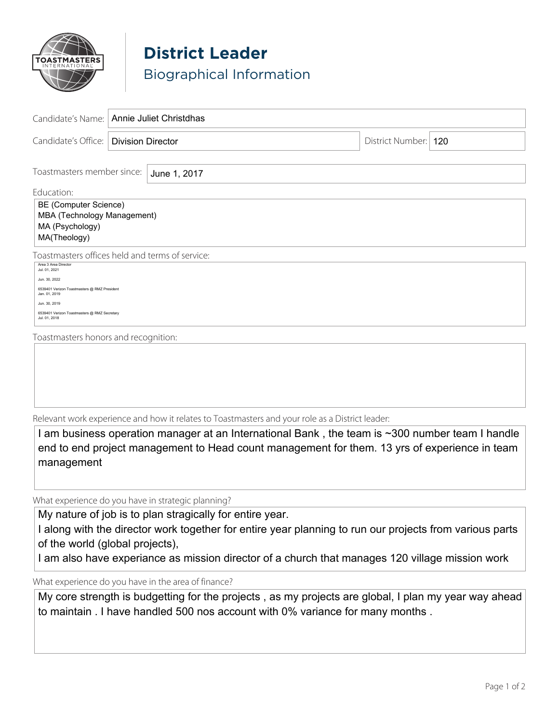

## **District Leader** Biographical Information

|                                                                                         | Candidate's Name:   Annie Juliet Christdhas |                        |  |
|-----------------------------------------------------------------------------------------|---------------------------------------------|------------------------|--|
| Candidate's Office:   Division Director                                                 |                                             | District Number:   120 |  |
| Toastmasters member since:<br>June 1, 2017                                              |                                             |                        |  |
| Education:                                                                              |                                             |                        |  |
| BE (Computer Science)<br>MBA (Technology Management)<br>MA (Psychology)<br>MA(Theology) |                                             |                        |  |
| Toastmasters offices held and terms of service:                                         |                                             |                        |  |
| Area 3 Area Director<br>Jul. 01. 2021                                                   |                                             |                        |  |
| Jun. 30, 2022<br>6539401 Verizon Toastmasters @ RMZ President<br>Jan. 01, 2019          |                                             |                        |  |
| Jun. 30, 2019<br>6539401 Verizon Toastmasters @ RMZ Secretary<br>Jul. 01, 2018          |                                             |                        |  |
| Toastmasters honors and recognition:                                                    |                                             |                        |  |
|                                                                                         |                                             |                        |  |
|                                                                                         |                                             |                        |  |
|                                                                                         |                                             |                        |  |
|                                                                                         |                                             |                        |  |

Relevant work experience and how it relates to Toastmasters and your role as a District leader:

I am business operation manager at an International Bank , the team is ~300 number team I handle end to end project management to Head count management for them. 13 yrs of experience in team management

What experience do you have in strategic planning?

My nature of job is to plan stragically for entire year.

I along with the director work together for entire year planning to run our projects from various parts of the world (global projects),

I am also have experiance as mission director of a church that manages 120 village mission work

What experience do you have in the area of finance?

My core strength is budgetting for the projects , as my projects are global, I plan my year way ahead to maintain . I have handled 500 nos account with 0% variance for many months .